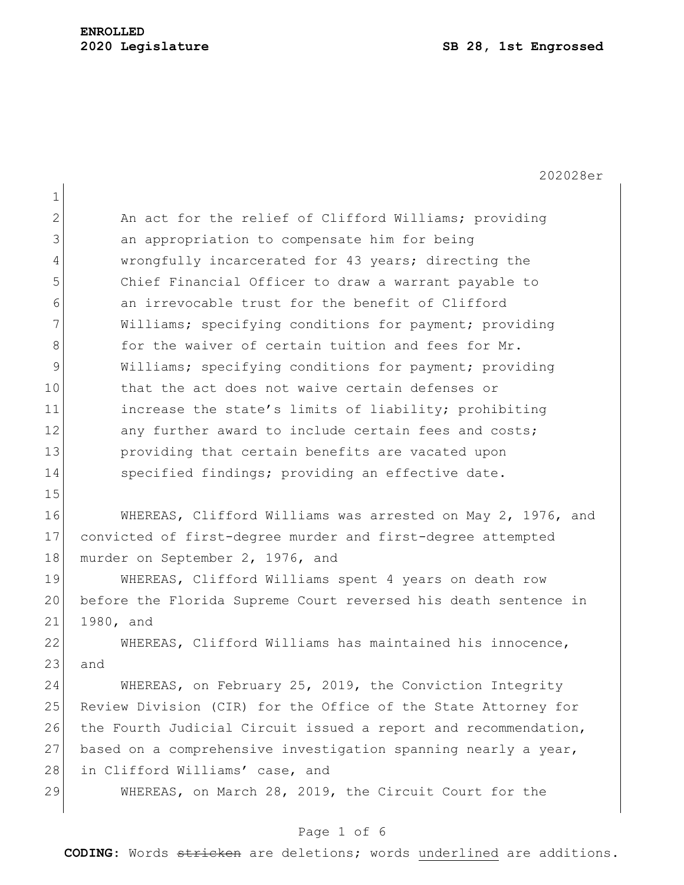202028er 1 2 An act for the relief of Clifford Williams; providing 3 3 an appropriation to compensate him for being 4 wrongfully incarcerated for 43 years; directing the 5 Chief Financial Officer to draw a warrant payable to 6 an irrevocable trust for the benefit of Clifford 7 Williams; specifying conditions for payment; providing 8 6 6 for the waiver of certain tuition and fees for Mr. 9 Williams; specifying conditions for payment; providing 10 that the act does not waive certain defenses or 11 increase the state's limits of liability; prohibiting 12 any further award to include certain fees and costs; 13 **providing that certain benefits are vacated upon** 14 Specified findings; providing an effective date. 15 16 WHEREAS, Clifford Williams was arrested on May 2, 1976, and 17 convicted of first-degree murder and first-degree attempted 18 murder on September 2, 1976, and 19 WHEREAS, Clifford Williams spent 4 years on death row 20 before the Florida Supreme Court reversed his death sentence in 21 1980, and 22 WHEREAS, Clifford Williams has maintained his innocence,  $23$  and 24 WHEREAS, on February 25, 2019, the Conviction Integrity 25 Review Division (CIR) for the Office of the State Attorney for 26 the Fourth Judicial Circuit issued a report and recommendation, 27 based on a comprehensive investigation spanning nearly a year, 28 in Clifford Williams' case, and 29 WHEREAS, on March 28, 2019, the Circuit Court for the

#### Page 1 of 6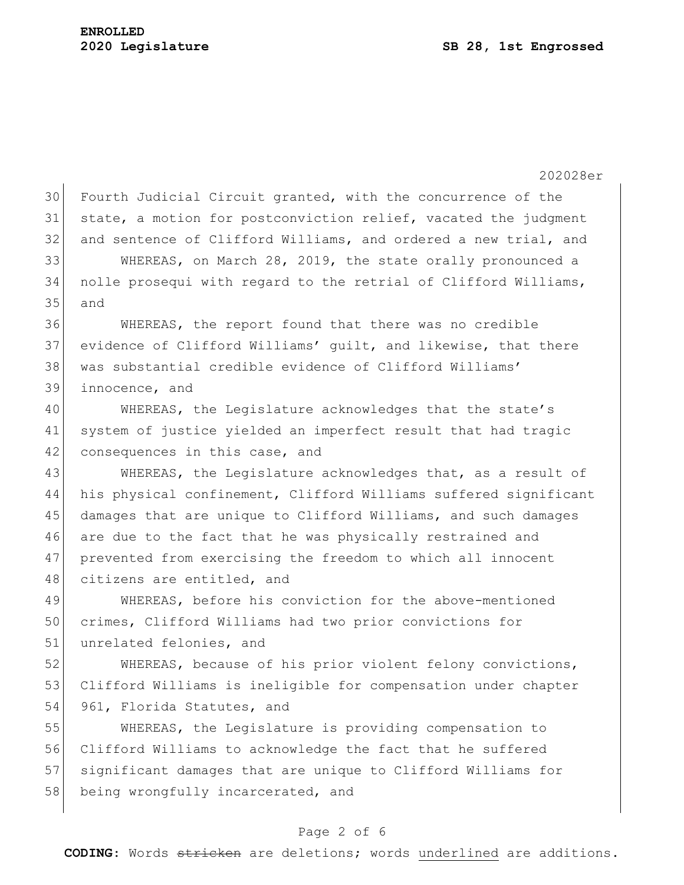202028er 30 Fourth Judicial Circuit granted, with the concurrence of the 31 state, a motion for postconviction relief, vacated the judgment 32 and sentence of Clifford Williams, and ordered a new trial, and 33 WHEREAS, on March 28, 2019, the state orally pronounced a 34 nolle prosequi with regard to the retrial of Clifford Williams, 35 and 36 WHEREAS, the report found that there was no credible 37 evidence of Clifford Williams' guilt, and likewise, that there 38 was substantial credible evidence of Clifford Williams' 39 innocence, and 40 WHEREAS, the Legislature acknowledges that the state's 41 system of justice yielded an imperfect result that had tragic 42 consequences in this case, and 43 WHEREAS, the Legislature acknowledges that, as a result of 44 his physical confinement, Clifford Williams suffered significant 45 damages that are unique to Clifford Williams, and such damages 46 are due to the fact that he was physically restrained and 47 prevented from exercising the freedom to which all innocent 48 citizens are entitled, and 49 WHEREAS, before his conviction for the above-mentioned 50 crimes, Clifford Williams had two prior convictions for 51 unrelated felonies, and 52 WHEREAS, because of his prior violent felony convictions, 53 Clifford Williams is ineligible for compensation under chapter 54 961, Florida Statutes, and 55 WHEREAS, the Legislature is providing compensation to 56 Clifford Williams to acknowledge the fact that he suffered 57 significant damages that are unique to Clifford Williams for 58 being wrongfully incarcerated, and

#### Page 2 of 6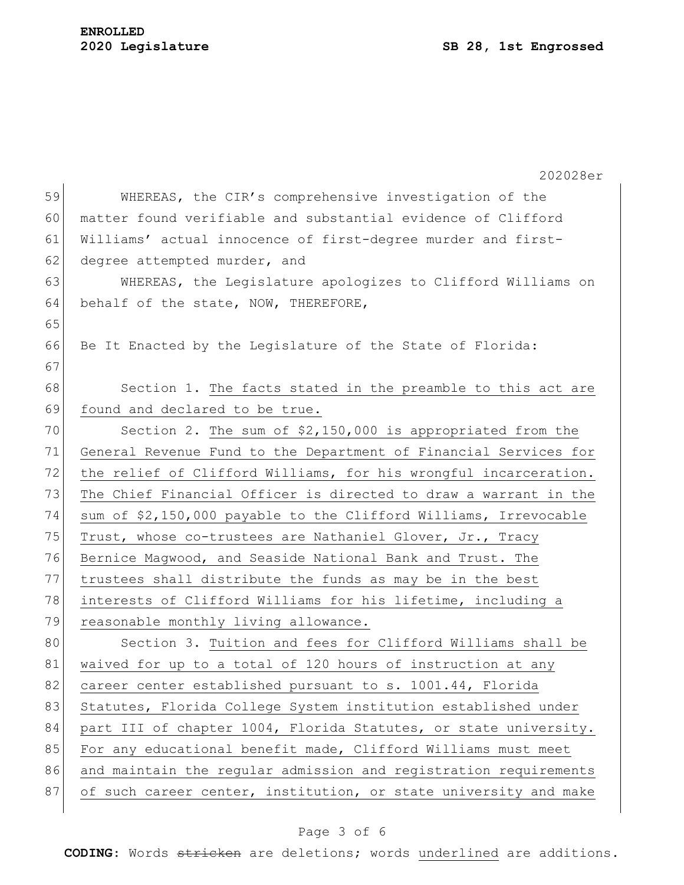#### **ENROLLED 2020 Legislature SB 28, 1st Engrossed**

| 59<br>WHEREAS, the CIR's comprehensive investigation of the<br>matter found verifiable and substantial evidence of Clifford<br>60<br>Williams' actual innocence of first-degree murder and first-<br>61<br>62<br>degree attempted murder, and<br>63<br>WHEREAS, the Legislature apologizes to Clifford Williams on<br>64<br>behalf of the state, NOW, THEREFORE,<br>65 |  |
|------------------------------------------------------------------------------------------------------------------------------------------------------------------------------------------------------------------------------------------------------------------------------------------------------------------------------------------------------------------------|--|
|                                                                                                                                                                                                                                                                                                                                                                        |  |
|                                                                                                                                                                                                                                                                                                                                                                        |  |
|                                                                                                                                                                                                                                                                                                                                                                        |  |
|                                                                                                                                                                                                                                                                                                                                                                        |  |
|                                                                                                                                                                                                                                                                                                                                                                        |  |
|                                                                                                                                                                                                                                                                                                                                                                        |  |
|                                                                                                                                                                                                                                                                                                                                                                        |  |
| 66<br>Be It Enacted by the Legislature of the State of Florida:                                                                                                                                                                                                                                                                                                        |  |
| 67                                                                                                                                                                                                                                                                                                                                                                     |  |
| 68<br>Section 1. The facts stated in the preamble to this act are                                                                                                                                                                                                                                                                                                      |  |
| 69<br>found and declared to be true.                                                                                                                                                                                                                                                                                                                                   |  |
| 70<br>Section 2. The sum of $$2,150,000$ is appropriated from the                                                                                                                                                                                                                                                                                                      |  |
| 71<br>General Revenue Fund to the Department of Financial Services for                                                                                                                                                                                                                                                                                                 |  |
| 72<br>the relief of Clifford Williams, for his wrongful incarceration.                                                                                                                                                                                                                                                                                                 |  |
| 73<br>The Chief Financial Officer is directed to draw a warrant in the                                                                                                                                                                                                                                                                                                 |  |
| 74<br>sum of \$2,150,000 payable to the Clifford Williams, Irrevocable                                                                                                                                                                                                                                                                                                 |  |
| 75<br>Trust, whose co-trustees are Nathaniel Glover, Jr., Tracy                                                                                                                                                                                                                                                                                                        |  |
| 76<br>Bernice Magwood, and Seaside National Bank and Trust. The                                                                                                                                                                                                                                                                                                        |  |
| 77<br>trustees shall distribute the funds as may be in the best                                                                                                                                                                                                                                                                                                        |  |
| 78<br>interests of Clifford Williams for his lifetime, including a                                                                                                                                                                                                                                                                                                     |  |
| 79<br>reasonable monthly living allowance.                                                                                                                                                                                                                                                                                                                             |  |
| 80<br>Section 3. Tuition and fees for Clifford Williams shall be                                                                                                                                                                                                                                                                                                       |  |
| 81<br>waived for up to a total of 120 hours of instruction at any                                                                                                                                                                                                                                                                                                      |  |
| 82<br>career center established pursuant to s. 1001.44, Florida                                                                                                                                                                                                                                                                                                        |  |
| 83<br>Statutes, Florida College System institution established under                                                                                                                                                                                                                                                                                                   |  |
| 84<br>part III of chapter 1004, Florida Statutes, or state university.                                                                                                                                                                                                                                                                                                 |  |
| 85<br>For any educational benefit made, Clifford Williams must meet                                                                                                                                                                                                                                                                                                    |  |
| 86<br>and maintain the regular admission and registration requirements                                                                                                                                                                                                                                                                                                 |  |
| 87<br>of such career center, institution, or state university and make                                                                                                                                                                                                                                                                                                 |  |

# Page 3 of 6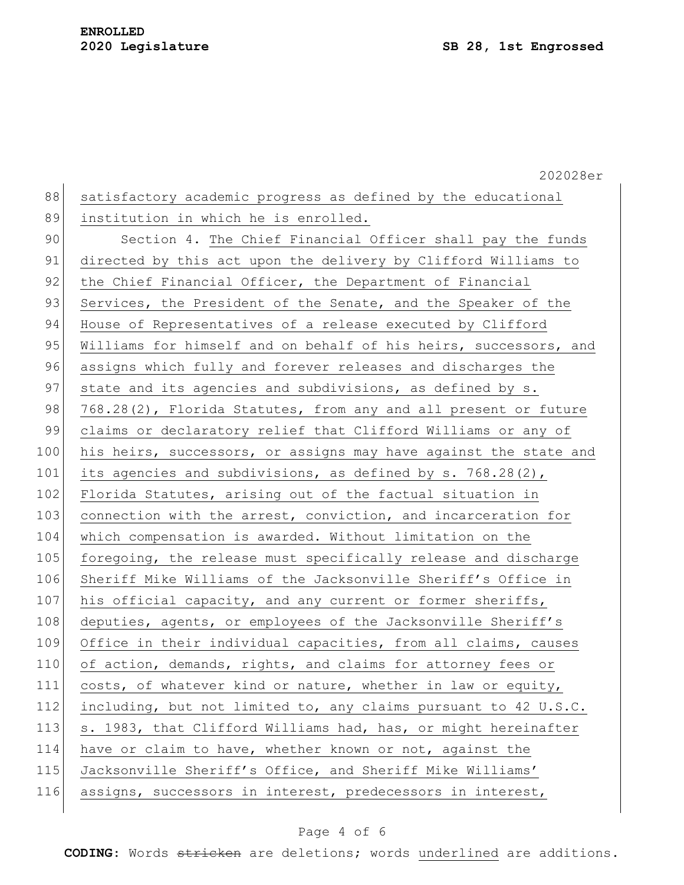|     | 202028er                                                         |
|-----|------------------------------------------------------------------|
| 88  | satisfactory academic progress as defined by the educational     |
| 89  | institution in which he is enrolled.                             |
| 90  | Section 4. The Chief Financial Officer shall pay the funds       |
| 91  | directed by this act upon the delivery by Clifford Williams to   |
| 92  | the Chief Financial Officer, the Department of Financial         |
| 93  | Services, the President of the Senate, and the Speaker of the    |
| 94  | House of Representatives of a release executed by Clifford       |
| 95  | Williams for himself and on behalf of his heirs, successors, and |
| 96  | assigns which fully and forever releases and discharges the      |
| 97  | state and its agencies and subdivisions, as defined by s.        |
| 98  | 768.28(2), Florida Statutes, from any and all present or future  |
| 99  | claims or declaratory relief that Clifford Williams or any of    |
| 100 | his heirs, successors, or assigns may have against the state and |
| 101 | its agencies and subdivisions, as defined by s. 768.28(2),       |
| 102 | Florida Statutes, arising out of the factual situation in        |
| 103 | connection with the arrest, conviction, and incarceration for    |
| 104 | which compensation is awarded. Without limitation on the         |
| 105 | foregoing, the release must specifically release and discharge   |
| 106 | Sheriff Mike Williams of the Jacksonville Sheriff's Office in    |
| 107 | his official capacity, and any current or former sheriffs,       |
| 108 | deputies, agents, or employees of the Jacksonville Sheriff's     |
| 109 | Office in their individual capacities, from all claims, causes   |
| 110 | of action, demands, rights, and claims for attorney fees or      |
| 111 | costs, of whatever kind or nature, whether in law or equity,     |
| 112 | including, but not limited to, any claims pursuant to 42 U.S.C.  |
| 113 | s. 1983, that Clifford Williams had, has, or might hereinafter   |
| 114 | have or claim to have, whether known or not, against the         |
| 115 | Jacksonville Sheriff's Office, and Sheriff Mike Williams'        |
| 116 | assigns, successors in interest, predecessors in interest,       |
|     |                                                                  |

# Page 4 of 6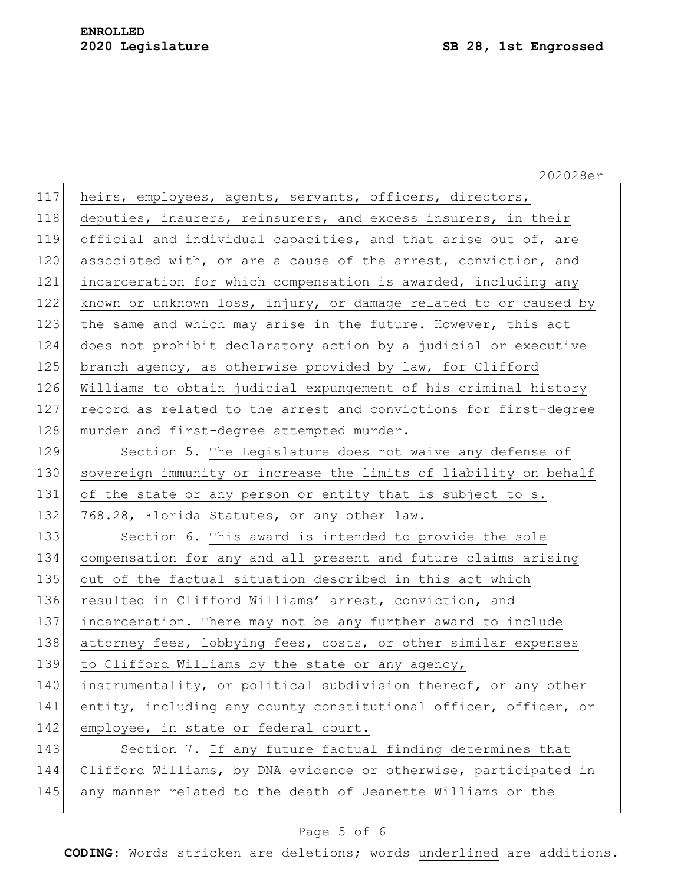|     | 202028er                                                         |
|-----|------------------------------------------------------------------|
| 117 | heirs, employees, agents, servants, officers, directors,         |
| 118 | deputies, insurers, reinsurers, and excess insurers, in their    |
| 119 | official and individual capacities, and that arise out of, are   |
| 120 | associated with, or are a cause of the arrest, conviction, and   |
| 121 | incarceration for which compensation is awarded, including any   |
| 122 | known or unknown loss, injury, or damage related to or caused by |
| 123 | the same and which may arise in the future. However, this act    |
| 124 | does not prohibit declaratory action by a judicial or executive  |
| 125 | branch agency, as otherwise provided by law, for Clifford        |
| 126 | Williams to obtain judicial expungement of his criminal history  |
| 127 | record as related to the arrest and convictions for first-degree |
| 128 | murder and first-degree attempted murder.                        |
| 129 | Section 5. The Legislature does not waive any defense of         |
| 130 | sovereign immunity or increase the limits of liability on behalf |
| 131 | of the state or any person or entity that is subject to s.       |
| 132 | 768.28, Florida Statutes, or any other law.                      |
| 133 | Section 6. This award is intended to provide the sole            |
| 134 | compensation for any and all present and future claims arising   |
| 135 | out of the factual situation described in this act which         |
| 136 | resulted in Clifford Williams' arrest, conviction, and           |
| 137 | incarceration. There may not be any further award to include     |
| 138 | attorney fees, lobbying fees, costs, or other similar expenses   |
| 139 | to Clifford Williams by the state or any agency,                 |
| 140 | instrumentality, or political subdivision thereof, or any other  |
| 141 | entity, including any county constitutional officer, officer, or |
| 142 | employee, in state or federal court.                             |
| 143 | Section 7. If any future factual finding determines that         |
| 144 | Clifford Williams, by DNA evidence or otherwise, participated in |
| 145 | any manner related to the death of Jeanette Williams or the      |
|     |                                                                  |

# Page 5 of 6